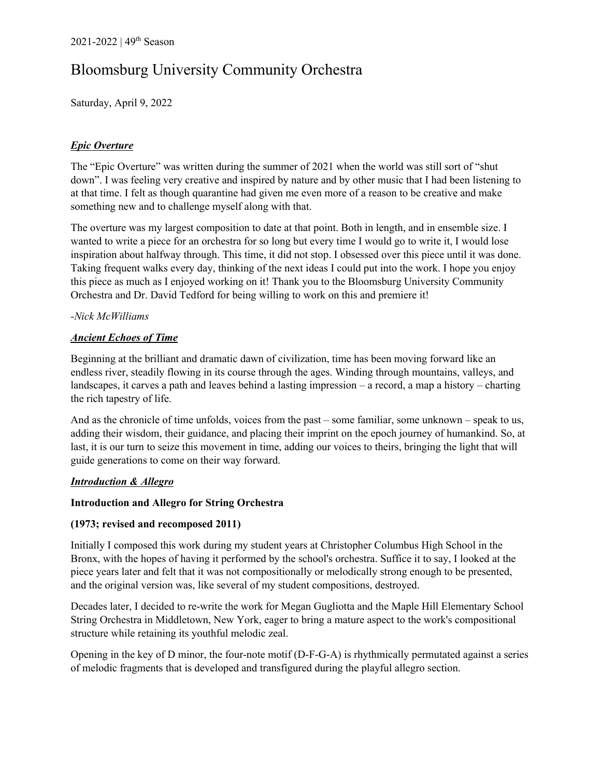# Bloomsburg University Community Orchestra

Saturday, April 9, 2022

## *Epic Overture*

The "Epic Overture" was written during the summer of 2021 when the world was still sort of "shut down". I was feeling very creative and inspired by nature and by other music that I had been listening to at that time. I felt as though quarantine had given me even more of a reason to be creative and make something new and to challenge myself along with that.

The overture was my largest composition to date at that point. Both in length, and in ensemble size. I wanted to write a piece for an orchestra for so long but every time I would go to write it, I would lose inspiration about halfway through. This time, it did not stop. I obsessed over this piece until it was done. Taking frequent walks every day, thinking of the next ideas I could put into the work. I hope you enjoy this piece as much as I enjoyed working on it! Thank you to the Bloomsburg University Community Orchestra and Dr. David Tedford for being willing to work on this and premiere it!

## *-Nick McWilliams*

## *Ancient Echoes of Time*

Beginning at the brilliant and dramatic dawn of civilization, time has been moving forward like an endless river, steadily flowing in its course through the ages. Winding through mountains, valleys, and landscapes, it carves a path and leaves behind a lasting impression – a record, a map a history – charting the rich tapestry of life.

And as the chronicle of time unfolds, voices from the past – some familiar, some unknown – speak to us, adding their wisdom, their guidance, and placing their imprint on the epoch journey of humankind. So, at last, it is our turn to seize this movement in time, adding our voices to theirs, bringing the light that will guide generations to come on their way forward.

#### *Introduction & Allegro*

#### **Introduction and Allegro for String Orchestra**

#### **(1973; revised and recomposed 2011)**

Initially I composed this work during my student years at Christopher Columbus High School in the Bronx, with the hopes of having it performed by the school's orchestra. Suffice it to say, I looked at the piece years later and felt that it was not compositionally or melodically strong enough to be presented, and the original version was, like several of my student compositions, destroyed.

Decades later, I decided to re-write the work for Megan Gugliotta and the Maple Hill Elementary School String Orchestra in Middletown, New York, eager to bring a mature aspect to the work's compositional structure while retaining its youthful melodic zeal.

Opening in the key of D minor, the four-note motif (D-F-G-A) is rhythmically permutated against a series of melodic fragments that is developed and transfigured during the playful allegro section.